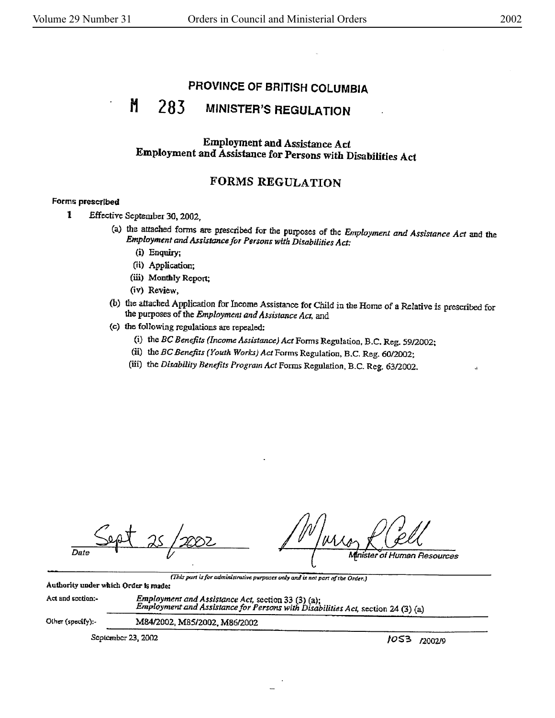# PROVINCE OF BRITISH COLUMBIA

#### M 283 **MINISTER'S REGULATION**

## **Employment and Assistance Act** Employment and Assistance for Persons with Disabilities Act

## **FORMS REGULATION**

## Forms prescribed

- $\mathbf{1}$ Effective September 30, 2002.
	- (a) the attached forms are prescribed for the purposes of the Employment and Assistance Act and the Employment and Assistance for Persons with Disabilities Act:
		- (i) Enquiry;
		- (ii) Application;
		- (iii) Monthly Report:
		- (iv) Review.
	- (b) the attached Application for Income Assistance for Child in the Home of a Relative is prescribed for the purposes of the Employment and Assistance Act, and
	- (c) the following regulations are repealed:
		- (i) the BC Benefits (Income Assistance) Act Forms Regulation, B.C. Reg. 59/2002;
		- (ii) the BC Benefits (Youth Works) Act Forms Regulation, B.C. Reg. 60/2002;
		- (iii) the Disability Benefits Program Act Forms Regulation, B.C. Reg. 63/2002.

Date

rister Resources

(This part is for administrative purposes only and is not part of the Order.)

Authority under which Order is made:

Employment and Assistance Act, section 33 (3) (a);<br>Employment and Assistance for Persons with Disabilities Act, section 24 (3) (a) Act and section:-

Other (specify):-

September 23, 2002

M84/2002, M85/2002, M86/2002

1053 72002/9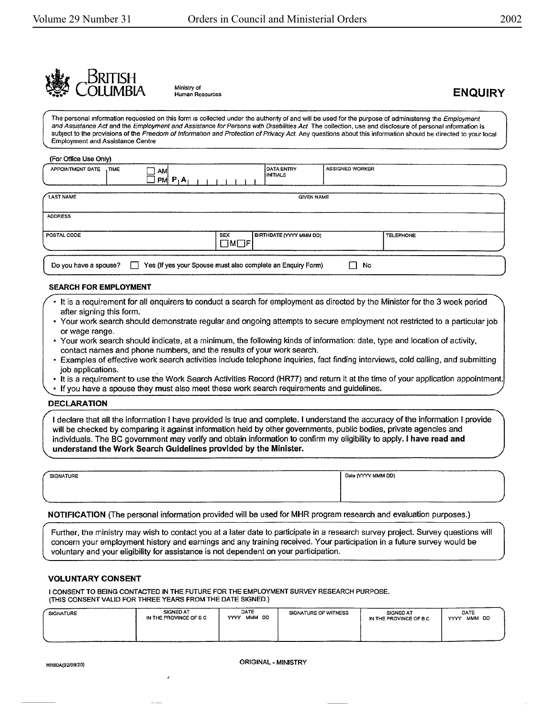



Ministry of<br>Human Resources **ENQUIRY** 

The personal information requested on this form is collected under the authority of and will be used for the purpose of administering the *Employment* and Assistance Act and the Employment and Assistance for Persons with Disabilities Act The collection, use and disclosure of personal information is subject to the provisions of the Freedom of Information and Protection of Privacy Act. Any questions about this information should be directed to your local Employment and Assistance Centre

#### (For Office Use Only)

| APPOINTMENT DATE<br>. TIME | AM<br>$JPM$ $P_1A_1$ |                                 | <b>DATA ENTRY</b><br>INITIALS  | <b>ASSIGNED WORKER</b> |
|----------------------------|----------------------|---------------------------------|--------------------------------|------------------------|
| LAST NAME                  |                      |                                 |                                | <b>GIVEN NAME</b>      |
| <b>ADDRESS</b>             |                      |                                 |                                |                        |
| POSTAL CODE                |                      | <b>SEX</b><br>$\Box$ M $\Box$ F | <b>BIRTHDATE (YYYY MMM DD)</b> | <b>TELEPHONE</b>       |

#### **SEARCH FOR EMPLOYMENT**

- It is a requirement for all enquirers to conduct a search for employment as directed by the Minister for the 3 week period after signing this form.
- Your work search should demonstrate regular and ongoing attempts to secure employment not restricted to a particular job or wage range.
- Your work search should indicate, at a minimum, the following kinds of information: date, type and location of activity, contact names and phone numbers, and the results of your work search.
- Examples of effective work search activities include telephone inquiries, fact finding interviews, cold calling, and submitting job applications.
- It is a requirement to use the Work Search Activities Record (HR77) and return it at the time of your application appointment.
- If you have a spouse they must also meet these work search requirements and guidelines.

#### **DECLARATION**

I declare that all the information I have provided is true and complete. I understand the accuracy of the information I provide will be checked by comparing it against information held by other governments, public bodies, private agencies and individuals. The BC government may verify and obtain information to confirm my eligibility to apply. I **have read and**  understand the Work Search Guidelines provided by the Minister.

| SIGNATURE |  |  |
|-----------|--|--|
|           |  |  |
|           |  |  |

*r* 

[ .... '\_IG-N-AT\_U\_R\_E \_\_\_\_\_\_\_\_\_\_\_\_\_\_\_\_\_\_\_\_\_\_\_\_\_\_\_ ... I\_D\_•te\_f'(YYV \_\_ M\_MM-DD\_) \_\_\_\_\_\_\_\_\_\_\_ J

#### **NOTIFICATION** (The personal information provided will be used for MHR program research and evaluation purposes.)

Further, the ministry may wish to contact you at a later date to participate in a research survey project. Survey questions will concern your employment history and earnings and any training received. Your participation in a future survey would be voluntary and your eligibility for assistance is not dependent on your participation.

#### **VOLUNTARY CONSENT**

I CONSENT TO BEING CONTACTED IN THE FUTURE FOR THE EMPLOYMENT SURVEY RESEARCH PURPOSE. (THIS CONSENT VALID FOR THREE YEARS FROM THE DATE SIGNED.)

| <b>SIGNATURE</b>                                                                                                | <b>SIGNED AT</b><br>IN THE PROVINCE OF B C | DATE<br>MMM DD<br>YYYY | SIGNATURE OF WITNESS | <b>SIGNED AT</b><br>IN THE PROVINCE OF B C | DATE<br>MMM DD<br>YYYY |
|-----------------------------------------------------------------------------------------------------------------|--------------------------------------------|------------------------|----------------------|--------------------------------------------|------------------------|
| the contract of the contract of the contract of the contract of the contract of the contract of the contract of |                                            |                        | ------               |                                            |                        |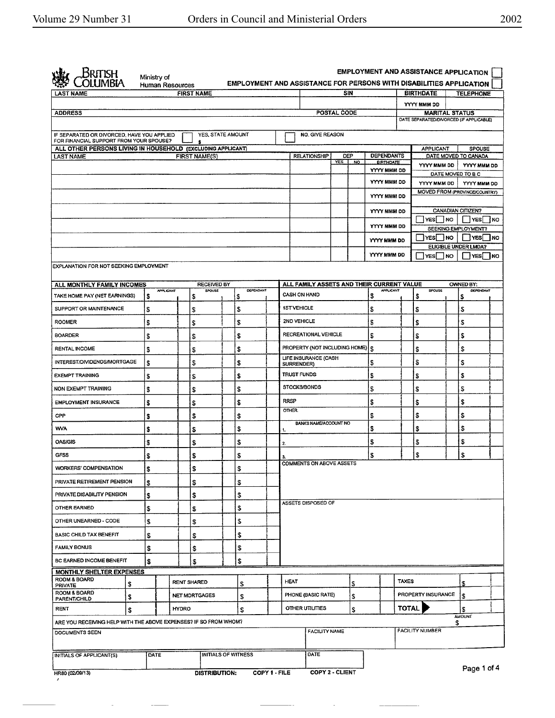| British                                                                               |    | Ministry of            |       |                        |                            | <b>EMPLOYMENT AND ASSISTANCE FOR PERSONS WITH DISABILITIES APPLICATION</b> |               |                       |                                 |             |     |                                           |         | <b>EMPLOYMENT AND ASSISTANCE APPLICATION</b>                     |           |                                                     |      |
|---------------------------------------------------------------------------------------|----|------------------------|-------|------------------------|----------------------------|----------------------------------------------------------------------------|---------------|-----------------------|---------------------------------|-------------|-----|-------------------------------------------|---------|------------------------------------------------------------------|-----------|-----------------------------------------------------|------|
| <b>LAST NAME</b>                                                                      |    | <b>Human Resources</b> |       | <b>FIRST NAME</b>      |                            |                                                                            |               |                       |                                 | SIN         |     |                                           |         | <b>BIRTHDATE</b>                                                 |           | <b>TELEPHONE</b>                                    |      |
|                                                                                       |    |                        |       |                        |                            |                                                                            |               |                       |                                 |             |     |                                           |         | YYYY MMM DD                                                      |           |                                                     |      |
| <b>ADDRESS</b>                                                                        |    |                        |       |                        |                            |                                                                            |               |                       |                                 | POSTAL CODE |     |                                           |         | <b>MARITAL STATUS</b><br>DATE SEPARATED/DIVORCED (IF APPLICABLE) |           |                                                     |      |
|                                                                                       |    |                        |       |                        |                            |                                                                            |               |                       |                                 |             |     |                                           |         |                                                                  |           |                                                     |      |
| IF SEPARATED OR DIVORCED, HAVE YOU APPLIED<br>FOR FINANCIAL SUPPORT FROM YOUR SPOUSE? |    |                        |       | YES, STATE AMOUNT<br>s |                            |                                                                            |               |                       | <b>NO. GIVE REASON</b>          |             |     |                                           |         |                                                                  |           |                                                     |      |
| ALL OTHER PERSONS LIVING IN HOUSEHOLD (EXCLUDING APPLICANT)<br><b>LAST NAME</b>       |    |                        |       | <b>FIRST NAME(S)</b>   |                            |                                                                            |               |                       | <b>RELATIONSHIP</b>             | DEP         |     | <b>DEPENDANTS</b>                         |         | <b>APPLICANT</b>                                                 |           | SPOUSE<br>DATE MOVED TO CANADA                      |      |
|                                                                                       |    |                        |       |                        |                            |                                                                            |               |                       |                                 | <b>YES</b>  | NO. | BIRTHDATE<br>YYYY MMM DD                  |         | YYYY MMM DD                                                      |           | YYYY MMM DD                                         |      |
|                                                                                       |    |                        |       |                        |                            |                                                                            |               |                       |                                 |             |     | YYYY MMM DD                               |         |                                                                  |           | DATE MOVED TO B C                                   |      |
|                                                                                       |    |                        |       |                        |                            |                                                                            |               |                       |                                 |             |     |                                           |         | YYYY MMM DD                                                      |           | YYYY MMM DD<br><b>MOVED FROM (PROVINCE/COUNTRY)</b> |      |
|                                                                                       |    |                        |       |                        |                            |                                                                            |               |                       |                                 |             |     | YYYY MMM DD                               |         |                                                                  |           |                                                     |      |
|                                                                                       |    |                        |       |                        |                            |                                                                            |               |                       |                                 |             |     | YYYY MMM DD                               |         | <b>YES</b>                                                       | <b>NO</b> | CANADIAN CITIZEN?<br>YES.                           | 1 NO |
|                                                                                       |    |                        |       |                        |                            |                                                                            |               |                       |                                 |             |     | YYYY MMM DD                               |         |                                                                  |           | SEEKING EMPLOYMENT?                                 |      |
|                                                                                       |    |                        |       |                        |                            |                                                                            |               |                       |                                 |             |     | YYYY MMM DD                               |         | <b>IYESI INO</b>                                                 |           | YES NO<br>ELIGIBLE UNDER LMDA?                      |      |
|                                                                                       |    |                        |       |                        |                            |                                                                            |               |                       |                                 |             |     | YYYY MMM DD                               |         | YES NO                                                           |           | <b>YES</b> NO                                       |      |
| EXPLANATION FOR NOT SEEKING EMPLOYMENT                                                |    |                        |       |                        |                            |                                                                            |               |                       |                                 |             |     |                                           |         |                                                                  |           |                                                     |      |
| ALL MONTHLY FAMILY INCOMES                                                            |    |                        |       | RECEIVED BY            |                            |                                                                            |               |                       |                                 |             |     | ALL FAMILY ASSETS AND THEIR CURRENT VALUE |         |                                                                  |           | OWNED BY:                                           |      |
| TAKE HOME PAY (NET EARNINGS)                                                          | \$ | <b>APPLICANT</b>       |       | SPOUSE<br>s            |                            | <b>DEPENDANT</b><br>\$                                                     |               | CASH ON HAND          |                                 |             |     | <b>APPLICANT</b><br>\$                    |         | SPOUSE<br>\$                                                     |           | <b>DEPENDANT</b><br>\$                              |      |
| SUPPORT OR MAINTENANCE                                                                | \$ |                        |       | \$                     |                            | \$                                                                         |               | <b>1ST VEHICLE</b>    |                                 |             |     | \$                                        |         | S                                                                |           | S                                                   |      |
| <b>ROOMER</b>                                                                         | \$ |                        |       | \$                     |                            | \$                                                                         |               | <b>2ND VEHICLE</b>    |                                 |             |     | \$                                        |         | \$                                                               |           | \$                                                  |      |
| <b>BOARDER</b>                                                                        |    |                        |       |                        |                            |                                                                            |               |                       | <b>RECREATIONAL VEHICLE</b>     |             |     | \$                                        |         |                                                                  |           | \$                                                  |      |
|                                                                                       | \$ |                        |       | \$                     |                            | \$                                                                         |               |                       | PROPERTY (NOT INCLUDING HOME)   |             |     |                                           |         | \$                                                               |           |                                                     |      |
| <b>RENTAL INCOME</b>                                                                  | \$ |                        |       | \$                     |                            | \$                                                                         |               |                       | LIFE INSURANCE (CASH            |             |     | l S                                       |         | \$                                                               |           | S                                                   |      |
| INTEREST/DIVIDENDS/MORTGAGE                                                           | \$ |                        |       | \$                     |                            | \$                                                                         |               | SURRENDER)            |                                 |             |     | \$                                        |         | \$                                                               |           | S                                                   |      |
| <b>EXEMPT TRAINING</b>                                                                | \$ |                        |       | \$                     |                            | \$                                                                         |               | TRUST FUNDS           |                                 |             |     | \$                                        |         | \$                                                               |           | \$                                                  |      |
| NON EXEMPT TRAINING                                                                   | \$ |                        |       | \$                     |                            | \$                                                                         |               | <b>STOCKS/BONDS</b>   |                                 |             |     | \$                                        |         | S                                                                |           | \$                                                  |      |
| <b>EMPLOYMENT INSURANCE</b>                                                           | \$ |                        |       | \$                     |                            | \$                                                                         |               | <b>RRSP</b><br>OTHER. |                                 |             |     | \$                                        |         | \$                                                               |           | s                                                   |      |
| CPP                                                                                   | \$ |                        |       | \$                     |                            | \$                                                                         |               |                       | <b>BANKS NAME/ACCOUNT NO</b>    |             |     | \$                                        |         | \$                                                               |           | \$                                                  |      |
| <b>WVA</b>                                                                            | \$ |                        |       | \$                     |                            | \$                                                                         | 1.            |                       |                                 |             |     | \$                                        |         | \$                                                               |           | \$                                                  |      |
| OAS/GIS                                                                               | \$ |                        |       | \$                     |                            | \$                                                                         | 2.            |                       |                                 |             |     | \$                                        |         | \$                                                               |           | \$                                                  |      |
| <b>GFSS</b>                                                                           | \$ |                        |       | \$                     |                            | \$                                                                         |               |                       |                                 |             |     | \$                                        |         | \$                                                               |           | \$                                                  |      |
| WORKERS' COMPENSATION                                                                 | S  |                        |       | \$                     |                            | \$                                                                         |               |                       | <b>COMMENTS ON ABOVE ASSETS</b> |             |     |                                           |         |                                                                  |           |                                                     |      |
| PRIVATE RETIREMENT PENSION                                                            | \$ |                        |       | \$                     |                            | \$                                                                         |               |                       |                                 |             |     |                                           |         |                                                                  |           |                                                     |      |
| PRIVATE DISABILITY PENSION                                                            | \$ |                        |       | \$                     |                            | \$                                                                         |               |                       |                                 |             |     |                                           |         |                                                                  |           |                                                     |      |
| OTHER EARNED                                                                          | \$ |                        |       | \$                     |                            | \$                                                                         |               |                       | ASSETS DISPOSED OF              |             |     |                                           |         |                                                                  |           |                                                     |      |
| OTHER UNEARNED - CODE                                                                 | S  |                        |       | \$                     |                            | \$                                                                         |               |                       |                                 |             |     |                                           |         |                                                                  |           |                                                     |      |
| <b>BASIC CHILD TAX BENEFIT</b>                                                        | \$ |                        |       | \$                     |                            | \$                                                                         |               |                       |                                 |             |     |                                           |         |                                                                  |           |                                                     |      |
| <b>FAMILY BONUS</b>                                                                   | \$ |                        |       | \$                     |                            | \$                                                                         |               |                       |                                 |             |     |                                           |         |                                                                  |           |                                                     |      |
| BC EARNED INCOME BENEFIT                                                              | \$ |                        |       | \$                     |                            | \$                                                                         |               |                       |                                 |             |     |                                           |         |                                                                  |           |                                                     |      |
| MONTHLY SHELTER EXPENSES                                                              |    |                        |       |                        |                            |                                                                            |               |                       |                                 |             |     |                                           |         |                                                                  |           |                                                     |      |
| ROOM & BOARD<br>\$<br>PRIVATE                                                         |    |                        |       | <b>RENT SHARED</b>     |                            | \$                                                                         |               | <b>HEAT</b>           |                                 |             | s   |                                           | TAXES   |                                                                  |           | \$                                                  |      |
| ROOM & BOARD<br>\$<br><b>PARENT/CHILD</b>                                             |    |                        |       | NET MORTGAGES          |                            | \$                                                                         |               |                       | PHONE (BASIC RATE)              |             | S   |                                           |         | PROPERTY INSURANCE                                               |           | S                                                   |      |
| RENT<br>\$                                                                            |    |                        | HYDRO |                        |                            | \$                                                                         |               | OTHER UTILITIES       |                                 |             | \$  |                                           | TOTAL I |                                                                  |           | s                                                   |      |
| ARE YOU RECEIVING HELP WITH THE ABOVE EXPENSES? IF SO FROM WHOM?                      |    |                        |       |                        |                            |                                                                            |               |                       |                                 |             |     |                                           |         |                                                                  | \$        | AMOUNT                                              |      |
| DOCUMENTS SEEN                                                                        |    |                        |       |                        |                            |                                                                            |               |                       | <b>FACILITY NAME</b>            |             |     |                                           |         | <b>FACILITY NUMBER</b>                                           |           |                                                     |      |
|                                                                                       |    |                        |       |                        |                            |                                                                            |               |                       |                                 |             |     |                                           |         |                                                                  |           |                                                     |      |
| INITIALS OF APPLICANT(S)                                                              |    | DATE                   |       |                        | <b>INITIALS OF WITNESS</b> |                                                                            |               |                       | DATE                            |             |     |                                           |         |                                                                  |           |                                                     |      |
| HR80 (02/09/13)                                                                       |    |                        |       | <b>DISTRIBUTION:</b>   |                            |                                                                            | COPY 1 - FILE |                       | COPY 2 - CLIENT                 |             |     |                                           |         |                                                                  |           | Page 1 of 4                                         |      |

 $\overline{\phantom{a}}$ 

 $\overline{\phantom{a}}$ 

 $\overline{a}$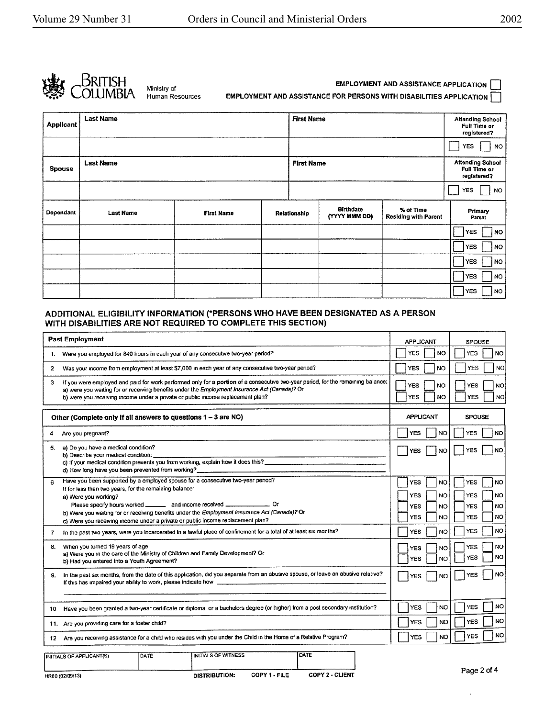

Human Resources

**EMPLOYMENT AND ASSISTANCE APPLICATION EMPLOYMENT AND ASSISTANCE FOR PERSONS WITH DISABILITIES APPLICATION** 

| <b>Applicant</b> | <b>Last Name</b> |                   | <b>First Name</b> |                                   |                                          | <b>Attending School</b><br>Full Time or<br>registered? |
|------------------|------------------|-------------------|-------------------|-----------------------------------|------------------------------------------|--------------------------------------------------------|
|                  |                  |                   |                   |                                   |                                          | <b>YES</b><br><b>NO</b>                                |
| <b>Spouse</b>    | <b>Last Name</b> |                   | <b>First Name</b> |                                   |                                          | <b>Attending School</b><br>Full Time or<br>registered? |
|                  |                  |                   |                   |                                   |                                          | YES.<br><b>NO</b>                                      |
| Dependant        | <b>Last Name</b> | <b>First Name</b> | Relationship      | <b>Birthdate</b><br>(YYYY MMM DD) | % of Time<br><b>Residing with Parent</b> | Primary<br>Parent                                      |
|                  |                  |                   |                   |                                   |                                          | <b>YES</b><br>NO                                       |
|                  |                  |                   |                   |                                   |                                          | <b>YES</b><br>NO                                       |
|                  |                  |                   |                   |                                   |                                          | <b>YES</b><br>NO.                                      |
|                  |                  |                   |                   |                                   |                                          | <b>YES</b><br>NO.                                      |
|                  |                  |                   |                   |                                   |                                          | <b>YES</b><br>NO                                       |

### **ADDITIONAL** ELIGIBILITY **INFORMATION (\*PERSONS WHO HAVE BEEN DESIGNATED AS A PERSON WITH DISABILITIES ARE NOT REQUIRED TO COMPLETE THIS SECTION)**

|              | <b>Past Employment</b>                                                                                                                                                                                                                                                                                                                                                                                                             | <b>APPLICANT</b>                                                              | <b>SPOUSE</b>                                                                                      |
|--------------|------------------------------------------------------------------------------------------------------------------------------------------------------------------------------------------------------------------------------------------------------------------------------------------------------------------------------------------------------------------------------------------------------------------------------------|-------------------------------------------------------------------------------|----------------------------------------------------------------------------------------------------|
| 1.           | Were you employed for 840 hours in each year of any consecutive two-year period?                                                                                                                                                                                                                                                                                                                                                   | <b>YES</b><br>NO.                                                             | <b>YES</b><br><b>NO</b>                                                                            |
| $\mathbf{2}$ | Was your income from employment at least \$7,000 in each year of any consecutive two-year period?                                                                                                                                                                                                                                                                                                                                  | YES<br>NO.                                                                    | <b>YES</b><br><b>NO</b>                                                                            |
| 3            | If you were employed and paid for work performed only for a portion of a consecutive two-year period, for the remaining balance:<br>a) were you waiting for or receiving benefits under the Employment Insurance Act (Canada)? Or<br>b) were you receiving income under a private or public income replacement plan?                                                                                                               | <b>YES</b><br><b>NO</b><br><b>YES</b><br>NO                                   | YES<br>NO<br><b>YES</b><br><b>NO</b>                                                               |
|              | Other (Complete only if all answers to questions 1 - 3 are NO)                                                                                                                                                                                                                                                                                                                                                                     | <b>APPLICANT</b>                                                              | <b>SPOUSE</b>                                                                                      |
| 4            | Are you pregnant?                                                                                                                                                                                                                                                                                                                                                                                                                  | <b>YES</b><br>NO                                                              | <b>YES</b><br><b>NO</b>                                                                            |
| 5.           | a) Do you have a medical condition?<br>b) Describe your medical condition:                                                                                                                                                                                                                                                                                                                                                         | YES<br>NO                                                                     | <b>NO</b><br>YES                                                                                   |
|              | c) If your medical condition prevents you from working, explain how it does this?<br>d) How long have you been prevented from working?                                                                                                                                                                                                                                                                                             |                                                                               |                                                                                                    |
| 6            | Have you been supported by a employed spouse for a consecutive two-year period?<br>If for less than two years, for the remaining balance:<br>a) Were you working?<br>Please specify hours worked _______ and income received ______________ Or<br>b) Were you waiting for or receiving benefits under the Employment Insurance Act (Canada)? Or<br>c) Were you receiving income under a private or public income replacement plan? | <b>YES</b><br>NO<br><b>YES</b><br>NO<br><b>YES</b><br>NO.<br><b>YES</b><br>NO | <b>NO</b><br><b>YES</b><br><b>NO</b><br><b>YES</b><br><b>YES</b><br>NO.<br><b>YES</b><br><b>NO</b> |
| 7            | In the past two years, were you incarcerated in a lawful place of confinement for a total of at least six months?                                                                                                                                                                                                                                                                                                                  | YES<br>NO                                                                     | <b>YES</b><br><b>NO</b>                                                                            |
| 8.           | When you turned 19 years of age<br>a) Were you in the care of the Ministry of Children and Family Development? Or<br>b) Had you entered into a Youth Agreement?                                                                                                                                                                                                                                                                    | <b>YES</b><br>NO<br><b>YES</b><br><b>NO</b>                                   | <b>NO</b><br><b>YES</b><br><b>NO</b><br><b>YES</b>                                                 |
| 9.           | in the past six months, from the date of this application, did you separate from an abusive spouse, or leave an abusive relative?<br>If this has impaired your ability to work, please indicate how                                                                                                                                                                                                                                | <b>YES</b><br><b>NO</b>                                                       | <b>NO</b><br><b>YES</b>                                                                            |
| 10           | Have you been granted a two-year certificate or diploma, or a bachelors degree (or higher) from a post secondary institution?                                                                                                                                                                                                                                                                                                      | <b>YES</b><br>NO.                                                             | <b>NO</b><br><b>YES</b>                                                                            |
|              | 11. Are you providing care for a foster child?                                                                                                                                                                                                                                                                                                                                                                                     | <b>YES</b><br>NO                                                              | <b>NO</b><br><b>YES</b>                                                                            |
| 12.          | Are you receiving assistance for a child who resides with you under the Child in the Home of a Relative Program?                                                                                                                                                                                                                                                                                                                   | NO<br><b>YES</b>                                                              | <b>NO</b><br>YES                                                                                   |
|              | DATE<br>INITIALS OF WITNESS<br>DATE<br>INITIALS OF APPLICANT(S)                                                                                                                                                                                                                                                                                                                                                                    |                                                                               |                                                                                                    |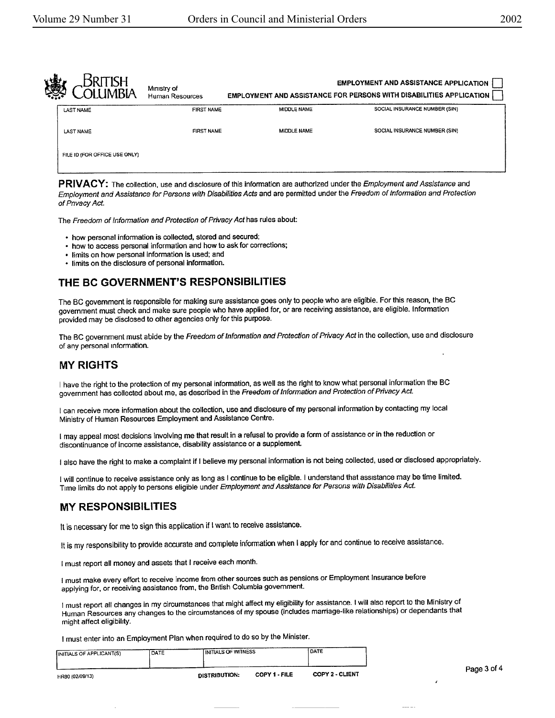| 爡 |                               | Ministry of<br>Human Resources |                    | <b>EMPLOYMENT AND ASSISTANCE APPLICATION</b><br><b>EMPLOYMENT AND ASSISTANCE FOR PERSONS WITH DISABILITIES APPLICATION</b> |
|---|-------------------------------|--------------------------------|--------------------|----------------------------------------------------------------------------------------------------------------------------|
|   | <b>LAST NAME</b>              | <b>FIRST NAME</b>              | MIDDLE NAME        | SOCIAL INSURANCE NUMBER (SIN)                                                                                              |
|   | <b>LAST NAME</b>              | <b>FIRST NAME</b>              | <b>MIDDLE NAME</b> | SOCIAL INSURANCE NUMBER (SIN)                                                                                              |
|   | FILE ID (FOR OFFICE USE ONLY) |                                |                    |                                                                                                                            |
|   |                               |                                |                    |                                                                                                                            |

**PRIVACY:** The collection, use and disclosure of this information are authorized under the Employment and Assistance and Employment and Assistance for Persons with Disabilities Acts and are permitted under the Freedom of Information and Protection of Privacy Act.

The Freedom of Information and Protection of Privacy Act has rules about:

- how personal information is collected, stored and secured;
- how to access personal information and how to ask for corrections;
- limits on how personal information is used; and
- limits on the disclosure of personal Information.

## THE **BC GOVERNMENT'S RESPONSIBILITIES**

The BC government is responsible for making sure assistance goes only to people who are eligible. For this reason, the BC government must check and make sure people who have applied for, or are receiving assistance, are eligible. Information provided may be disclosed to other agencies only for this purpose.

The BC government must abide by the Freedom of Information and Protection of Privacy Act in the collection, use and disclosure of any personal information.

## **MY RIGHTS**

I have the right to the protection of my personal information, as well as the right to know what personal information the BC government has collected about me, as described in the Freedom of Information and Protection of Privacy Act.

I can receive more information about the collection, use and disclosure of my personal information by contacting my local Ministry of Human Resources Employment and Assistance Centre.

I may appeal most decisions involving me that result in a refusal to provide a form of assistance or in the reduction or discontinuance of income assistance, disability assistance or a supplement

I also have the right to make a complaint if I believe my personal information is not being collected, used or disclosed appropriately.

I will continue to receive assistance only as long as I continue to be eligible. I understand that assistance may be time limited. Time limits do not apply to persons eligible under Employment and Assistance for Persons with Disabilities **Act.** 

## **MY RESPONSIBILITIES**

It is necessary for me to sign this application if I want to receive assistance.

It is my responsibility to provide accurate and complete information when I apply for and continue to receive assistance.

I must report all money and assets that I receive each month.

I must make every effort to receive income from other sources such as pensions or Employment Insurance before applying for, or receiving assistance from, the British Columbia government.

1 must report all changes in my circumstances that might affect my eligibility for assistance. I will also report to the Ministry of Human Resources any changes to the circumstances of my spouse (includes marriage-like relationships) or dependants that might affect eligibility.

I must enter into an Employment Plan when required to do so by the Minister. INITIALS OF APPLICANT(S) DATE INITIALS OF WITNESS DATE

|                 |               |               |                        | Page 3 of 4 |
|-----------------|---------------|---------------|------------------------|-------------|
| HR80 (02/09/13) | DISTRIBUTION: | COPY 1 - FILE | <b>COPY 2 - CLIENT</b> |             |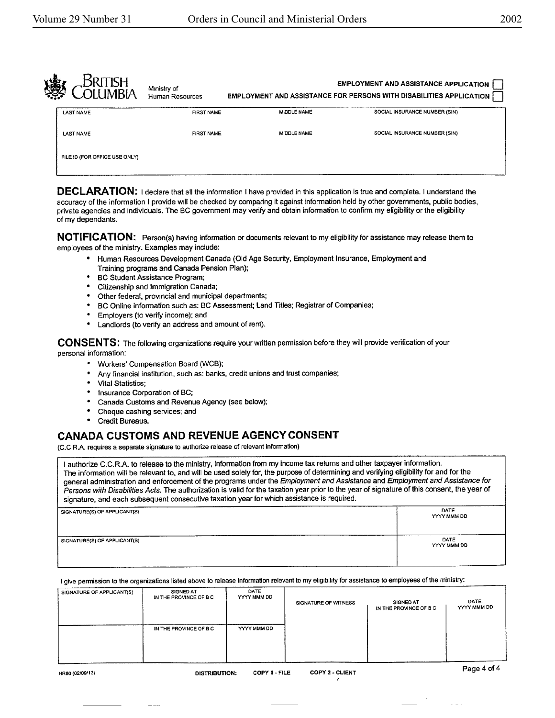| 像 |                               | Ministry of<br><b>Human Resources</b> |             | <b>EMPLOYMENT AND ASSISTANCE APPLICATION</b><br><b>EMPLOYMENT AND ASSISTANCE FOR PERSONS WITH DISABILITIES APPLICATION</b> |
|---|-------------------------------|---------------------------------------|-------------|----------------------------------------------------------------------------------------------------------------------------|
|   | <b>LAST NAME</b>              | <b>FIRST NAME</b>                     | MIDDLE NAME | SOCIAL INSURANCE NUMBER (SIN)                                                                                              |
|   | <b>LAST NAME</b>              | <b>FIRST NAME</b>                     | MIDDLE NAME | SOCIAL INSURANCE NUMBER (SIN)                                                                                              |
|   | FILE ID (FOR OFFICE USE ONLY) |                                       |             |                                                                                                                            |

**DECLARATION:** I declare that all the information I have provided in this application is true and complete. I understand the accuracy of the information I provide will be checked by comparing it against information held by other governments, public bodies, private agencies and individuals. The BC government may verify and obtain information to confirm my eligibility or the eligibility of my dependants.

**NOTIFICATION:** Person(s) having information or documents relevant to my eligibility for assistance may release them to employees of the ministry. Examples may include:

- Human Resources Development Canada (Old Age Security, Employment Insurance, Employment and Training programs and Canada Pension Plan);
- BC Student Assistance Program;
- Citizenship and Immigration Canada;
- Other federal, provincial and municipal departments;
- BC Online information such as; BC Assessment; Land Titles; Registrar of Companies;
- Employers (to verify income); and
- Landlords (to verify an address and amount of rent).

**CONSENTS:** The following organizations require your written permission before they will provide verification of your personal information:

- Workers' Compensation Board (WCB);
- Any financial institution, such as: banks, credit unions and trust companies;
- Vital Statistics;
- Insurance Corporation of BC;
- Canada Customs and Revenue Agency (see below);
- Cheque cashing services; and
- **Credit Bureaus.**

## **CANADA CUSTOMS AND REVENUE AGENCY CONSENT**

(C.C.R.A. requires a separate signature to authorize release of relevant information)

<sup>I</sup>authorize C.C.RA to release to the ministry, information from my income tax returns and other taxpayer information. The information will be relevant to, and will be used solely for, the purpose of determining and verifying eligibility for and for the general administration and enforcement of the programs under the Employment and Assistance and Employment and Assistance for Persons with Disabilities Acts. The authorization is valid for the taxation year prior to the year of signature of this consent, the year of signature, and each subsequent consecutive taxation year for which assistance is required.

SIGNATURE(S) OF APPLICANT(S) DATE

SIGNATURE(\$) OF APPLICANT(\$) DATE

YYYY MMM DD

YYYY MMM DD

I give permission to the organizations listed above to release information relevant to my eligibility for assistance to employees of the ministry:

| SIGNATURE OF APPLICANT(S) | SIGNED AT<br>IN THE PROVINCE OF B C | DATE<br>YYYY MMM DD | SIGNATURE OF WITNESS | SIGNED AT<br>IN THE PROVINCE OF B C | DATE.<br>YYYY MMM DD |
|---------------------------|-------------------------------------|---------------------|----------------------|-------------------------------------|----------------------|
|                           | IN THE PROVINCE OF B C              | YYYY MMM DD         |                      |                                     |                      |
|                           |                                     |                     |                      |                                     |                      |
|                           |                                     |                     |                      |                                     | $\sim$ $\sim$ $\sim$ |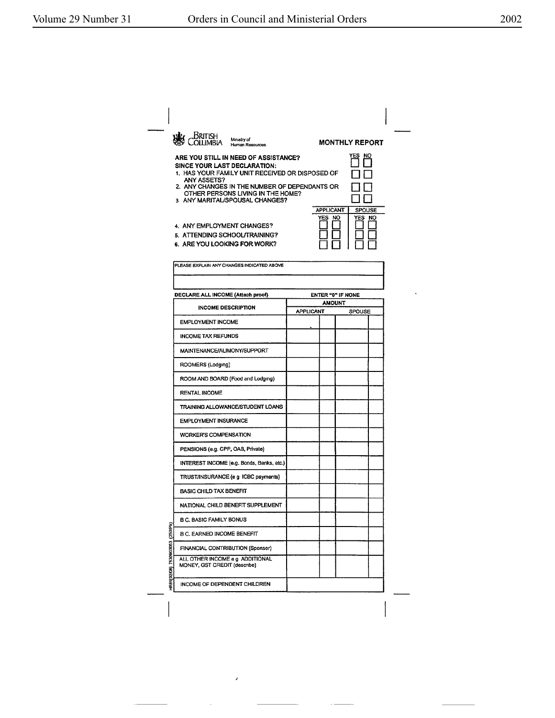|                                 | British<br>Ministry of<br>Human Resources.                                                                                                                                                                                                                     |                  |                     | <b>MONTHLY REPORT</b>    |  |
|---------------------------------|----------------------------------------------------------------------------------------------------------------------------------------------------------------------------------------------------------------------------------------------------------------|------------------|---------------------|--------------------------|--|
|                                 | ARE YOU STILL IN NEED OF ASSISTANCE?<br>SINCE YOUR LAST DECLARATION:<br>1. HAS YOUR FAMILY UNIT RECEIVED OR DISPOSED OF<br>ANY ASSETS?<br>2. ANY CHANGES IN THE NUMBER OF DEPENDANTS OR<br>OTHER PERSONS LIVING IN THE HOME?<br>3 ANY MARITAL/SPOUSAL CHANGES? |                  |                     | YES NO                   |  |
|                                 | 4. ANY EMPLOYMENT CHANGES?<br>5. ATTENDING SCHOOL/TRAINING?<br>6. ARE YOU LOOKING FOR WORK?                                                                                                                                                                    |                  | APPLICANT<br>YES NO | <b>SPOUSE</b><br>YES NO  |  |
|                                 | PLEASE EXPLAIN ANY CHANGES INDICATED ABOVE                                                                                                                                                                                                                     |                  |                     |                          |  |
|                                 | DECLARE ALL INCOME (Attach proof)                                                                                                                                                                                                                              |                  |                     | <b>ENTER "0" IF NONE</b> |  |
|                                 | <b>INCOME DESCRIPTION</b>                                                                                                                                                                                                                                      | <b>APPLICANT</b> | <b>AMOUNT</b>       | SPOUSE                   |  |
|                                 | <b>EMPLOYMENT INCOME</b>                                                                                                                                                                                                                                       |                  |                     |                          |  |
|                                 | <b>INCOME TAX REFUNDS</b>                                                                                                                                                                                                                                      |                  |                     |                          |  |
|                                 | MAINTENANCE/ALIMONY/SUPPORT                                                                                                                                                                                                                                    |                  |                     |                          |  |
|                                 | ROOMERS (Lodging)                                                                                                                                                                                                                                              |                  |                     |                          |  |
|                                 | ROOM AND BOARD (Food and Lodging)                                                                                                                                                                                                                              |                  |                     |                          |  |
|                                 | <b>RENTAL INCOME</b>                                                                                                                                                                                                                                           |                  |                     |                          |  |
|                                 | TRAINING ALLOWANCE/STUDENT LOANS                                                                                                                                                                                                                               |                  |                     |                          |  |
|                                 | <b>EMPLOYMENT INSURANCE</b>                                                                                                                                                                                                                                    |                  |                     |                          |  |
|                                 | <b>WORKER'S COMPENSATION</b>                                                                                                                                                                                                                                   |                  |                     |                          |  |
|                                 | PENSIONS (e.g. CPP, OAS, Private)                                                                                                                                                                                                                              |                  |                     |                          |  |
|                                 | INTEREST INCOME (e.g. Bonds, Banks, etc.)                                                                                                                                                                                                                      |                  |                     |                          |  |
|                                 | TRUST/INSURANCE (e g ICBC payments)                                                                                                                                                                                                                            |                  |                     |                          |  |
|                                 | <b>BASIC CHILD TAX BENEFIT</b>                                                                                                                                                                                                                                 |                  |                     |                          |  |
|                                 | NATIONAL CHILD BENEFIT SUPPLEMENT                                                                                                                                                                                                                              |                  |                     |                          |  |
|                                 | <b>B.C. BASIC FAMILY BONUS</b>                                                                                                                                                                                                                                 |                  |                     |                          |  |
|                                 | <b>B C. EARNED INCOME BENEFIT</b>                                                                                                                                                                                                                              |                  |                     |                          |  |
|                                 | FINANCIAL CONTRIBUTION (Sponsor)                                                                                                                                                                                                                               |                  |                     |                          |  |
| HR81(02/08) 7530903053 (250/Pk) | ALL OTHER INCOME e g ADDITIONAL<br>MONEY, GST CREDIT (describe)                                                                                                                                                                                                |                  |                     |                          |  |
|                                 | INCOME OF DEPENDENT CHILDREN                                                                                                                                                                                                                                   |                  |                     |                          |  |
|                                 |                                                                                                                                                                                                                                                                |                  |                     |                          |  |

 $\bar{\pmb{\epsilon}}$ 

 $\sim$ 

 $\sim$   $-$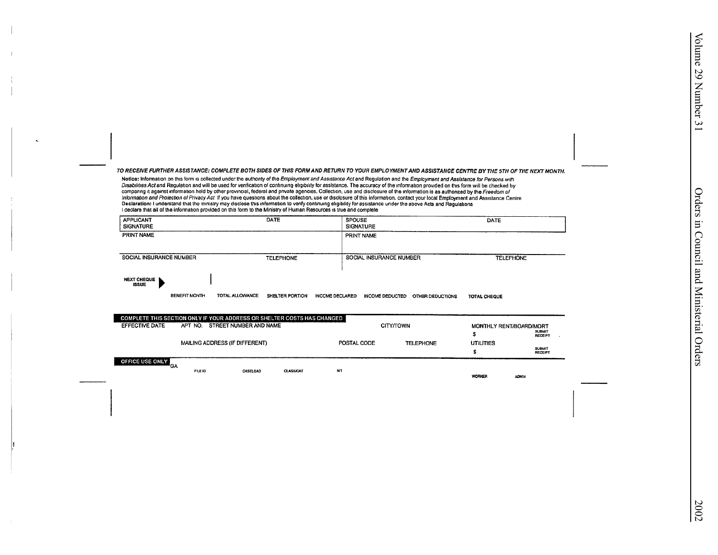TO RECEIVE FURTHER ASSISTANCE: COMPLETE BOTH SIDES OF THIS FORM AND RETURN TO YOUR EMPLOYMENT AND ASSISTANCE CENTRE BY THE 5TH OF THE NEXT MONTH.

Notice: Information on this form is collected under the authonty of the Employment and Assistance Act and Regulation and the Employment and Assistance for Persons with Disabilities Act and Regulation and will be used for venfication of continuing eligibility for assistance. The accuracy of the information provided on this form will be checked by companing it against information held by other provincial, federal and private agencies. Collection, use and disclosure of the information is as authorized by the Freedom of<br>Information and Protection of Privacy Act if you Declaration: I understand that the ministry may disclose this information to verify continuing eligibility for assistance under the above Acts and Regulations I declare that all of the information provided on this form to the Ministry of Human Resources is true and complete

| <b>APPLICANT</b><br><b>SIGNATURE</b> | DATE             | <b>SPOUSE</b><br><b>SIGNATURE</b> | DATE             |
|--------------------------------------|------------------|-----------------------------------|------------------|
| PRINT NAME                           |                  | PRINT NAME                        |                  |
| <b>SOCIAL INSURANCE NUMBER</b>       | <b>TELEPHONE</b> | SOCIAL INSURANCE NUMBER           | <b>TELEPHONE</b> |
| <b>NEXT CHEQUE</b><br><b>ISSUE</b>   |                  |                                   |                  |

**BENEFIT MONTH** TOTAL ALLOWANCE SHELTER PORTION INCOME DECLARED INCOME DEDUCTED OTHER DEDUCTIONS **TOTAL CHEQUE** 

**CLASSICAT** 

|                 | <b>COMPLETE THIS SECTION ONLY IF YOUR ADDRESS OR SHELTER COSTS HAS CHANGED</b> |                                                                                                                     |  |                                 |  |
|-----------------|--------------------------------------------------------------------------------|---------------------------------------------------------------------------------------------------------------------|--|---------------------------------|--|
| EFFECTIVE DATE  | STREET NUMBER AND NAME<br>APT NO.                                              | <b>CITY/TOWN</b><br>MONTHLY RENT/BOARD/MORT<br><b>SUBMIT</b><br>POSTAL CODE<br><b>UTILITIES</b><br><b>TELEPHONE</b> |  |                                 |  |
|                 |                                                                                |                                                                                                                     |  | <b>RECEIPT</b>                  |  |
|                 | MAILING ADDRESS (IF DIFFERENT)                                                 |                                                                                                                     |  |                                 |  |
|                 |                                                                                |                                                                                                                     |  | <b>SUBMIT</b><br><b>RECEIPT</b> |  |
| OFFICE USE ONLY | G۸                                                                             |                                                                                                                     |  |                                 |  |

NП

FILE ID CASELOAD

WORKER

**ADMIN**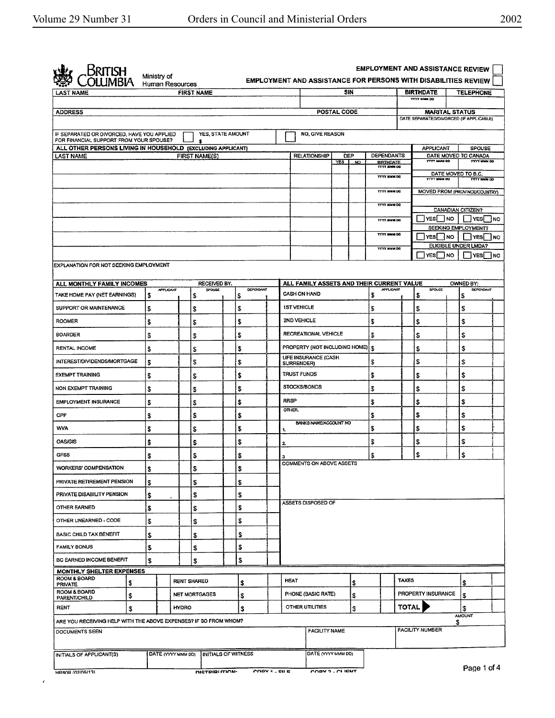$\mathbf{z}$ 

 $\omega_{\rm c}$  .

| <b>LAST NAME</b>                                                                      |     |           | <b>FIRST NAME</b>       |                  |                     |                                 |                    | SIN |                                           |              | <b>BIRTHDATE</b>                                                 |   | <b>TELEPHONE</b>                          |           |
|---------------------------------------------------------------------------------------|-----|-----------|-------------------------|------------------|---------------------|---------------------------------|--------------------|-----|-------------------------------------------|--------------|------------------------------------------------------------------|---|-------------------------------------------|-----------|
|                                                                                       |     |           |                         |                  |                     |                                 |                    |     |                                           |              | <b>YYYY MMM DD</b>                                               |   |                                           |           |
| <b>ADDRESS</b>                                                                        |     |           |                         |                  |                     |                                 | <b>POSTAL CODE</b> |     |                                           |              | <b>MARITAL STATUS</b><br>DATE SEPARATED/DIVORCED (IF APPLICABLE) |   |                                           |           |
|                                                                                       |     |           |                         |                  |                     |                                 |                    |     |                                           |              |                                                                  |   |                                           |           |
| IF SEPARATED OR DIVORCED, HAVE YOU APPLIED<br>FOR FINANCIAL SUPPORT FROM YOUR SPOUSE? |     |           | YES, STATE AMOUNT<br>\$ |                  |                     | <b>NO, GIVE REASON</b>          |                    |     |                                           |              |                                                                  |   |                                           |           |
| ALL OTHER PERSONS LIVING IN HOUSEHOLD (EXCLUDING APPLICANT)<br><b>LAST NAME</b>       |     |           |                         |                  |                     |                                 |                    | DEP | <b>DEPENDANTS</b>                         |              | <b>APPLICANT</b>                                                 |   | <b>SPOUSE</b><br>DATE MOVED TO CANADA     |           |
|                                                                                       |     |           | <b>FIRST NAME(S)</b>    |                  |                     | RELATIONSHIP                    | YES.               | NO. | <b>BIRTHDATE</b>                          |              | <b>VYVY NAMI DD</b>                                              |   | <b>YYYY MIMM DO</b>                       |           |
|                                                                                       |     |           |                         |                  |                     |                                 |                    |     | YYYY MMM DO                               |              | <b>YYYY NMM DD</b>                                               |   | DATE MOVED TO B.C.<br><b>YVYY MAIN DO</b> |           |
|                                                                                       |     |           |                         |                  |                     |                                 |                    |     | YYYY MMM DO                               |              | MOVED FROM (PROVINCE/COUNTRY)                                    |   |                                           |           |
|                                                                                       |     |           |                         |                  |                     |                                 |                    |     | <b>YYYY MMM DO</b>                        |              |                                                                  |   |                                           |           |
|                                                                                       |     |           |                         |                  |                     |                                 |                    |     | <b>TYTY MMM DO</b>                        |              | YES NO                                                           |   | CANADIAN CITIZEN?<br><b>YES</b>           | <b>NO</b> |
|                                                                                       |     |           |                         |                  |                     |                                 |                    |     | YYYY MMM DO                               |              |                                                                  |   | SEEKING EMPLOYMENT?                       |           |
|                                                                                       |     |           |                         |                  |                     |                                 |                    |     |                                           |              | YES INO                                                          |   | I IYESI INO<br>ELIGIBLE UNDER LMDA?       |           |
|                                                                                       |     |           |                         |                  |                     |                                 |                    |     | YYYY MMM DO                               |              | YES NO                                                           |   | <b>IYES</b> INO                           |           |
| EXPLANATION FOR NOT SEEKING EMPLOYMENT                                                |     |           |                         |                  |                     |                                 |                    |     |                                           |              |                                                                  |   |                                           |           |
| ALL MONTHLY FAMILY INCOMES                                                            |     |           | RECEIVED BY.            |                  |                     |                                 |                    |     | ALL FAMILY ASSETS AND THEIR CURRENT VALUE |              |                                                                  |   | OWNED BY:                                 |           |
| TAKE HOME PAY (NET EARNINGS)                                                          | \$  | APPLICANT | SPOUSE<br>\$            | DEPENDANT<br>`\$ | <b>CASH ON HAND</b> |                                 |                    |     | <b>APPLICANT</b><br>\$                    |              | SPOUSE<br>\$                                                     |   | <b>DEPENDANT</b><br>\$                    |           |
| SUPPORT OR MAINTENANCE                                                                | \$  |           | \$                      | S                | <b>1ST VEHICLE</b>  |                                 |                    |     | S                                         |              | \$                                                               |   | S                                         |           |
| <b>ROOMER</b>                                                                         | \$  |           | s                       | \$               | 2ND VEHICLE         |                                 |                    |     | \$                                        |              | \$                                                               |   | \$                                        |           |
| <b>BOARDER</b>                                                                        | \$  |           | \$                      | \$               |                     | <b>RECREATIONAL VEHICLE</b>     |                    |     | \$                                        |              | \$                                                               |   | \$                                        |           |
| <b>RENTAL INCOME</b>                                                                  | \$  |           | s                       | \$               |                     | PROPERTY (NOT INCLUDING HOME) S |                    |     |                                           |              | \$                                                               |   | \$                                        |           |
| INTEREST/DIVIDENDS/MORTGAGE                                                           | \$  |           | \$                      | \$               | SURRENDER)          | LIFE INSURANCE (CASH            |                    |     | \$                                        |              | \$                                                               |   | \$                                        |           |
| <b>EXEMPT TRAINING</b>                                                                | \$  |           | \$                      | \$               | <b>TRUST FUNDS</b>  |                                 |                    |     | \$                                        |              | \$                                                               |   | S                                         |           |
| NON EXEMPT TRAINING                                                                   | \$  |           | \$                      | \$               | <b>STOCKS/BONDS</b> |                                 |                    |     | S                                         |              | \$                                                               |   | \$                                        |           |
| <b>EMPLOYMENT INSURANCE</b>                                                           | \$  |           | s                       | \$               | <b>RRSP</b>         |                                 |                    |     | \$                                        |              | \$                                                               |   | \$                                        |           |
| CPP                                                                                   | \$  |           | \$                      | \$               | OTHER.              |                                 |                    |     | \$                                        |              | \$                                                               |   | \$                                        |           |
| <b>WVA</b>                                                                            | \$  |           | \$                      | \$               | 1,                  | <b>BANKS NAME/ACCOUNT NO</b>    |                    |     | \$                                        |              | \$                                                               |   | \$                                        |           |
| <b>OAS/GIS</b>                                                                        | \$  |           | \$                      | \$               | 2                   |                                 |                    |     | \$                                        |              | \$                                                               |   | \$                                        |           |
| <b>GFSS</b>                                                                           | \$  |           | \$                      | \$               | з                   |                                 |                    |     | S                                         |              | \$                                                               |   | \$                                        |           |
| <b>WORKERS' COMPENSATION</b>                                                          | 1\$ |           | -5                      | \$               |                     | <b>COMMENTS ON ABOVE ASSETS</b> |                    |     |                                           |              |                                                                  |   |                                           |           |
| PRIVATE RETIREMENT PENSION                                                            | S   |           | \$                      | \$               |                     |                                 |                    |     |                                           |              |                                                                  |   |                                           |           |
| PRIVATE DISABILITY PENSION                                                            | \$  |           | \$                      | S                |                     |                                 |                    |     |                                           |              |                                                                  |   |                                           |           |
| OTHER EARNED                                                                          | \$  |           | \$                      | \$               |                     | ASSETS DISPOSED OF              |                    |     |                                           |              |                                                                  |   |                                           |           |
| OTHER UNEARNED - CODE                                                                 | \$  |           | \$                      | \$               |                     |                                 |                    |     |                                           |              |                                                                  |   |                                           |           |
| <b>BASIC CHILD TAX BENEFIT</b>                                                        | \$  |           | s                       | \$               |                     |                                 |                    |     |                                           |              |                                                                  |   |                                           |           |
| <b>FAMILY BONUS</b>                                                                   | \$  |           | S                       | \$               |                     |                                 |                    |     |                                           |              |                                                                  |   |                                           |           |
| BC EARNED INCOME BENEFIT                                                              | \$  |           | \$                      | \$               |                     |                                 |                    |     |                                           |              |                                                                  |   |                                           |           |
| MONTHLY SHELTER EXPENSES                                                              |     |           |                         |                  |                     |                                 |                    |     |                                           |              |                                                                  |   |                                           |           |
| ROOM & BOARD<br><b>PRIVATE</b>                                                        | \$  |           | <b>RENT SHARED</b>      | s                | <b>HEAT</b>         |                                 |                    | \$  |                                           | <b>TAXES</b> |                                                                  |   | \$                                        |           |
| ROOM & BOARD<br>\$<br>PARENT/CHILD                                                    |     |           | <b>NET MORTGAGES</b>    | S                |                     | PHONE (BASIC RATE)              |                    | \$  |                                           |              | PROPERTY INSURANCE                                               |   | s.                                        |           |
| RENT                                                                                  | \$  |           | <b>HYDRO</b>            | \$               |                     | OTHER UTILITIES                 |                    | \$  |                                           | <b>TOTAL</b> |                                                                  |   | \$<br><b>AMOUNT</b>                       |           |
| ARE YOU RECEIVING HELP WITH THE ABOVE EXPENSES? IF SO FROM WHOM?                      |     |           |                         |                  |                     |                                 |                    |     |                                           |              |                                                                  | S |                                           |           |
| DOCUMENTS SEEN                                                                        |     |           |                         |                  |                     | <b>FACILITY NAME</b>            |                    |     |                                           |              | <b>FACILITY NUMBER</b>                                           |   |                                           |           |
|                                                                                       |     |           |                         |                  |                     |                                 |                    |     |                                           |              |                                                                  |   |                                           |           |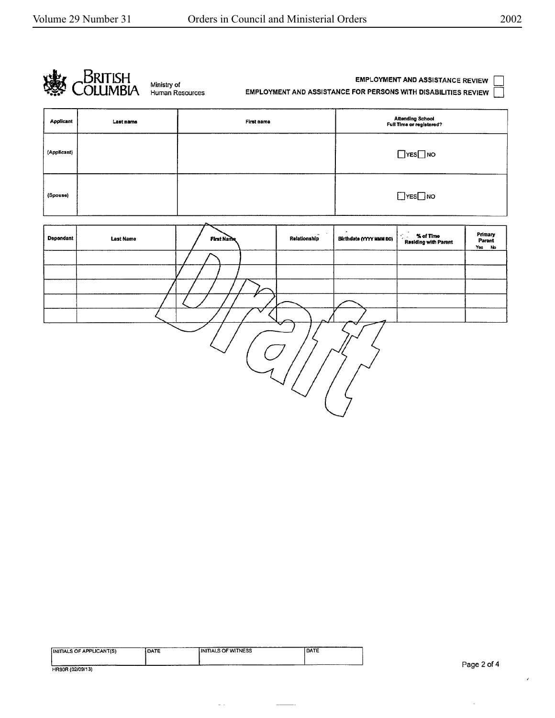

| INITIALS OF APPLICANT(S) | DATE | <b>INITIALS OF WITNESS</b> | DATE |
|--------------------------|------|----------------------------|------|
|                          |      |                            |      |
| HR80R (02/09/13)         |      |                            |      |

 $\omega_{\rm c}$  .

 $\overline{\phantom{a}}$ 

 $\bar{\gamma}$ 

 $\epsilon$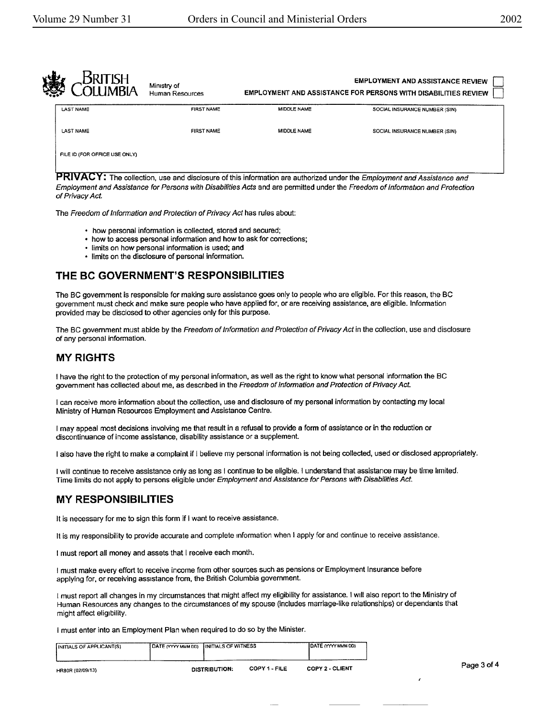| <b>RITISH</b><br><b>IMRIA</b> | Ministry of<br>Human Resources | <b>EMPLOYMENT AND ASSISTANCE REVIEW</b><br><b>EMPLOYMENT AND ASSISTANCE FOR PERSONS WITH DISABILITIES REVIEW</b> |                               |  |  |
|-------------------------------|--------------------------------|------------------------------------------------------------------------------------------------------------------|-------------------------------|--|--|
| <b>LAST NAME</b>              | <b>FIRST NAME</b>              | MIDDLE NAME                                                                                                      | SOCIAL INSURANCE NUMBER (SIN) |  |  |
| <b>LAST NAME</b>              | <b>FIRST NAME</b>              | <b>MIDDLE NAME</b>                                                                                               | SOCIAL INSURANCE NUMBER (SIN) |  |  |
| FILE ID (FOR OFFICE USE ONLY) |                                |                                                                                                                  |                               |  |  |

: The collection, use and disclosure of this information are authorized under the Employment *and* Assistance and Employment and Assistance for Persons with Disabilities Acts and are permitted under the Freedom of Information and Protection of Privacy Act.

The Freedom of Information and Protection of Privacy Act has rules about:

- how personal information is collected, stored and secured;
- how to access personal information and how to ask for corrections;
- limits on how personal information is used; and
- limits on the disclosure of personal information.

## THE **BC GOVERNMENT'S RESPONSIBILITIES**

The BC government is responsible for making sure assistance goes only to people who are eligible. For this reason, the BC government must check and make sure people who have applied for, or are receiving assistance, are eligible. Information provided may be disclosed to other agencies only for this purpose.

The BC government must abide by the Freedom of Information and Protection of Privacy Act in the collection, use and disclosure of any personal information.

## MY RIGHTS

<sup>I</sup>have the right to the protection of my personal information, as well as the right to know what personal information the BC government has collected about me, as described in the Freedom of Information and Protection of Privacy Act.

I can receive more information about the collection, use and disclosure of my personal information by contacting my local Ministry of Human Resources Employment and Assistance Centre.

I may appeal most decisions involving me that result in a refusal to provide a form of assistance or in the reduction or discontinuance of income assistance, disability assistance or a supplement

I also have the right to make a complaint if I believe my personal information is not being collected, used or disclosed appropriately.

I will continue to receive assistance only as long as I continue to be eligible. I understand that assistance may be time limited. Time limits do not apply to persons eligible under Employment and Assistance for Persons with Disabilities Act.

## **MY RESPONSIBILITIES**

It is necessary for me to sign this form if I want to receive assistance.

It is my responsibility to provide accurate and complete information when I apply for and continue to receive assistance.

I must report all money and assets that I receive each month.

I must make every effort to receive income from other sources such as pensions or Employment Insurance before applying for, or receiving assistance from, the British Columbia government.

I must report all changes in my circumstances that might affect my eligibility for assistance. I will also report to the Ministry of Human Resources any changes to the circumstances of my spouse (includes marriage-like relationships) or dependants that might affect eligibility.

I must enter into an Employment Plan when required to do so by the Minister.

| INITIALS OF APPLICANT(S) | DATE (YYYY MMM DD) INITIALS OF WITNESS |                      |               | <b>IDATE (YYYY MMM OD)</b> |             |
|--------------------------|----------------------------------------|----------------------|---------------|----------------------------|-------------|
| HR80R (02/09/13)         |                                        | <b>DISTRIBUTION:</b> | COPY 1 - FILE | <b>COPY 2 - CLIENT</b>     | Page 3 of 4 |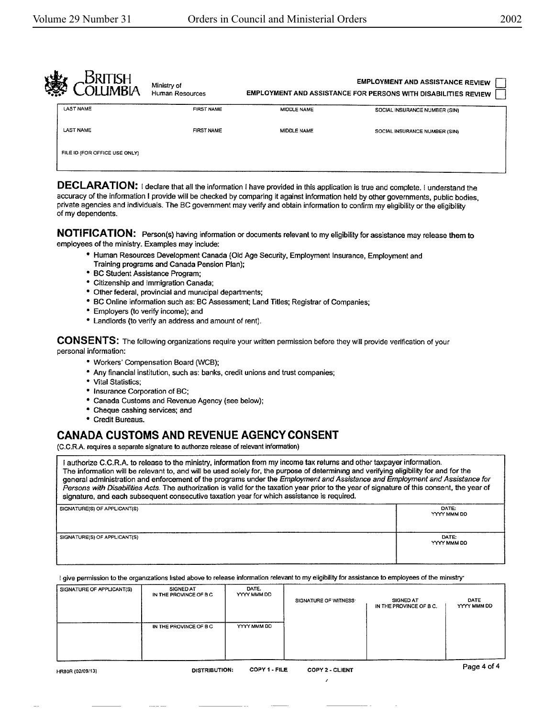| 虁<br><b>IMBIA</b>             | Ministry of<br>Human Resources |                    | <b>EMPLOYMENT AND ASSISTANCE REVIEW</b><br>EMPLOYMENT AND ASSISTANCE FOR PERSONS WITH DISABILITIES REVIEW |
|-------------------------------|--------------------------------|--------------------|-----------------------------------------------------------------------------------------------------------|
| <b>LAST NAME</b>              | <b>FIRST NAME</b>              | MIDDLE NAME        | SOCIAL INSURANCE NUMBER (SIN)                                                                             |
| <b>LAST NAME</b>              | <b>FIRST NAME</b>              | <b>MIDDLE NAME</b> | SOCIAL INSURANCE NUMBER (SIN)                                                                             |
| FILE ID (FOR OFFICE USE ONLY) |                                |                    |                                                                                                           |
|                               |                                |                    |                                                                                                           |

DECLARATION: I declare that all the information I have provided in this application is true and complete. I understand the accuracy of the information I provide will be checked by comparing it against information held by other governments, public bodies, private agencies and individuals. The BC government may verify and obtain information to confirm my eligibility or the eligibility of my dependents.

**NOTIFICATION:** Person(s) having information or documents relevant to my eligibility for assistance may release them to employees of the ministry. Examples may include:

- Human Resources Development Canada (Old Age Security, Employment Insurance, Employment and Training programs and Canada Pension Plan);
- BC Student Assistance Program;
- Citizenship and Immigration **Canada;**
- Other federal, provincial and municipal departments;
- BC Online information such as: BC Assessment; Land Titles; Registrar of Companies;
- Employers (to verify income); and
- Landlords {to verify an address and amount of rent).

**CONSENTS:** The following organizations require your written permission before they will provide verification of your personal information:

- Workers' Compensation Board (WCB);
- Any financial institution, such as: banks, credit unions and trust companies;
- Vital Statistics;
- Insurance Corporation of BC;
- **Canada** Customs and Revenue Agency (see below);
- Cheque cashing services; and
- Credit Bureaus.

## **CANADA CUSTOMS AND REVENUE AGENCY CONSENT**

{C.C.R.A. requires a separate signature to authonze release of relevant information)

I authorize C.C.R.A. to release to the ministry, information from my income tax returns and other taxpayer information. The information will be relevant to, and will be used solely for, the purpose of determining and verifying eligibility for and for the general administration and enforcement of the programs under the Employment and Assistance and Employment and Assistance for Persons with Disabilities Acts. The authorization is valid for the taxation year prior to the year of signature of this consent, the year of signature, and each subsequent consecutive taxation year for which assistance ls required.

| SIGNATURE(S) OF APPLICANT(S) | DATE:<br>YYYY MMM DD |
|------------------------------|----------------------|
| SIGNATURE(S) OF APPLICANT(S) | DATE:<br>YYYY MMM DD |

I give permission to the organizations listed above to release information relevant to my eligibility for assistance to employees of the ministry·

| SIGNATURE OF APPLICANT(S) | <b>SIGNED AT</b><br>IN THE PROVINCE OF B C | DATE.<br>YYYY MMM DD | SIGNATURE OF WITNESS   | <b>SIGNED AT</b><br>IN THE PROVINCE OF B.C. | DATE<br>YYYY MMM DD |
|---------------------------|--------------------------------------------|----------------------|------------------------|---------------------------------------------|---------------------|
|                           | IN THE PROVINCE OF B C                     | YYYY MMM DD          |                        |                                             |                     |
|                           |                                            |                      |                        |                                             |                     |
| HR80R (02/09/13)          | <b>DISTRIBUTION:</b>                       | COPY 1 - FILE        | <b>COPY 2 - CLIENT</b> |                                             | Page 4 of 4         |